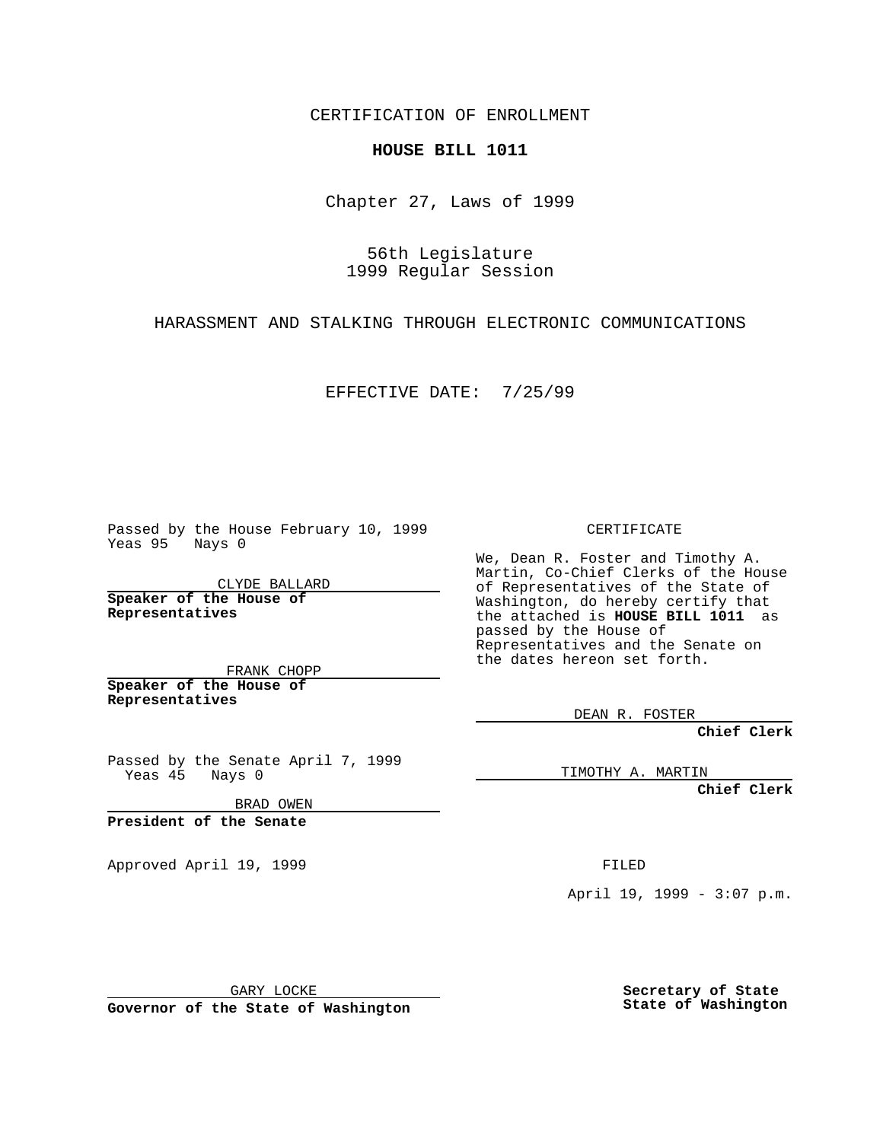CERTIFICATION OF ENROLLMENT

## **HOUSE BILL 1011**

Chapter 27, Laws of 1999

56th Legislature 1999 Regular Session

HARASSMENT AND STALKING THROUGH ELECTRONIC COMMUNICATIONS

EFFECTIVE DATE: 7/25/99

Passed by the House February 10, 1999 Yeas 95 Nays 0

CLYDE BALLARD **Speaker of the House of Representatives**

FRANK CHOPP **Speaker of the House of Representatives**

Passed by the Senate April 7, 1999 Yeas 45 Nays 0

BRAD OWEN

**President of the Senate**

Approved April 19, 1999 **FILED** 

CERTIFICATE

We, Dean R. Foster and Timothy A. Martin, Co-Chief Clerks of the House of Representatives of the State of Washington, do hereby certify that the attached is **HOUSE BILL 1011** as passed by the House of Representatives and the Senate on the dates hereon set forth.

DEAN R. FOSTER

**Chief Clerk**

TIMOTHY A. MARTIN

**Chief Clerk**

April 19, 1999 - 3:07 p.m.

GARY LOCKE

**Governor of the State of Washington**

**Secretary of State State of Washington**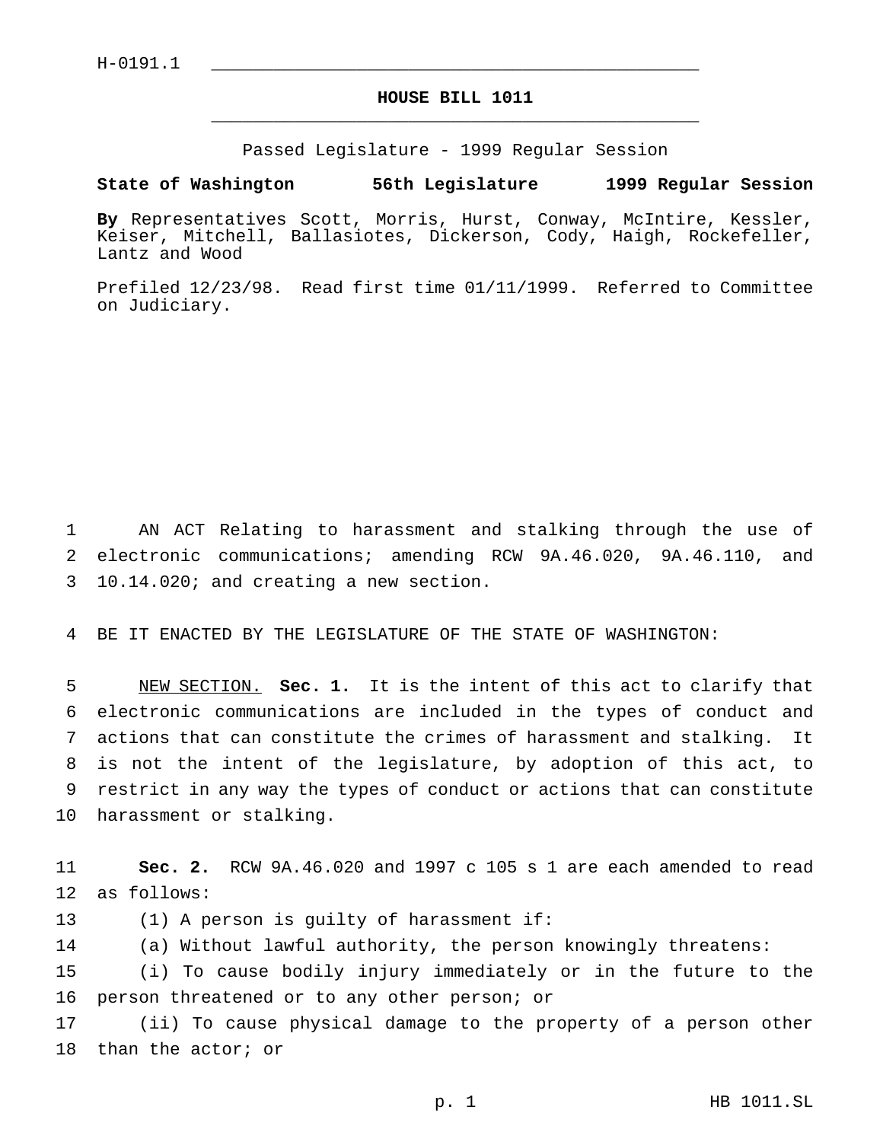## **HOUSE BILL 1011** \_\_\_\_\_\_\_\_\_\_\_\_\_\_\_\_\_\_\_\_\_\_\_\_\_\_\_\_\_\_\_\_\_\_\_\_\_\_\_\_\_\_\_\_\_\_\_

Passed Legislature - 1999 Regular Session

## **State of Washington 56th Legislature 1999 Regular Session**

**By** Representatives Scott, Morris, Hurst, Conway, McIntire, Kessler, Keiser, Mitchell, Ballasiotes, Dickerson, Cody, Haigh, Rockefeller, Lantz and Wood

Prefiled 12/23/98. Read first time 01/11/1999. Referred to Committee on Judiciary.

 AN ACT Relating to harassment and stalking through the use of electronic communications; amending RCW 9A.46.020, 9A.46.110, and 10.14.020; and creating a new section.

BE IT ENACTED BY THE LEGISLATURE OF THE STATE OF WASHINGTON:

 NEW SECTION. **Sec. 1.** It is the intent of this act to clarify that electronic communications are included in the types of conduct and actions that can constitute the crimes of harassment and stalking. It is not the intent of the legislature, by adoption of this act, to restrict in any way the types of conduct or actions that can constitute harassment or stalking.

 **Sec. 2.** RCW 9A.46.020 and 1997 c 105 s 1 are each amended to read as follows:

(1) A person is guilty of harassment if:

(a) Without lawful authority, the person knowingly threatens:

 (i) To cause bodily injury immediately or in the future to the person threatened or to any other person; or

 (ii) To cause physical damage to the property of a person other than the actor; or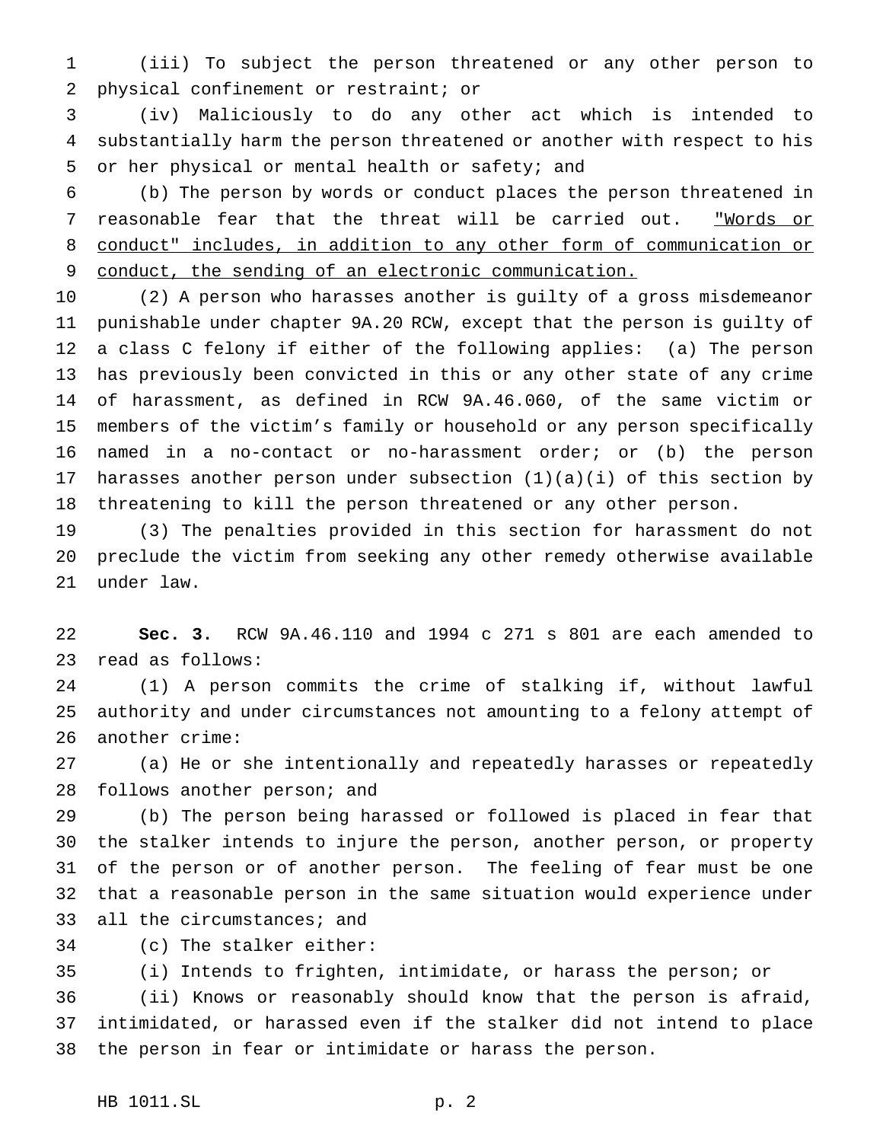(iii) To subject the person threatened or any other person to physical confinement or restraint; or

 (iv) Maliciously to do any other act which is intended to substantially harm the person threatened or another with respect to his or her physical or mental health or safety; and

 (b) The person by words or conduct places the person threatened in 7 reasonable fear that the threat will be carried out. "Words or conduct" includes, in addition to any other form of communication or 9 conduct, the sending of an electronic communication.

 (2) A person who harasses another is guilty of a gross misdemeanor punishable under chapter 9A.20 RCW, except that the person is guilty of a class C felony if either of the following applies: (a) The person has previously been convicted in this or any other state of any crime of harassment, as defined in RCW 9A.46.060, of the same victim or members of the victim's family or household or any person specifically named in a no-contact or no-harassment order; or (b) the person 17 harasses another person under subsection  $(1)(a)(i)$  of this section by threatening to kill the person threatened or any other person.

 (3) The penalties provided in this section for harassment do not preclude the victim from seeking any other remedy otherwise available under law.

 **Sec. 3.** RCW 9A.46.110 and 1994 c 271 s 801 are each amended to read as follows:

 (1) A person commits the crime of stalking if, without lawful authority and under circumstances not amounting to a felony attempt of another crime:

 (a) He or she intentionally and repeatedly harasses or repeatedly follows another person; and

 (b) The person being harassed or followed is placed in fear that the stalker intends to injure the person, another person, or property of the person or of another person. The feeling of fear must be one that a reasonable person in the same situation would experience under all the circumstances; and

(c) The stalker either:

(i) Intends to frighten, intimidate, or harass the person; or

 (ii) Knows or reasonably should know that the person is afraid, intimidated, or harassed even if the stalker did not intend to place the person in fear or intimidate or harass the person.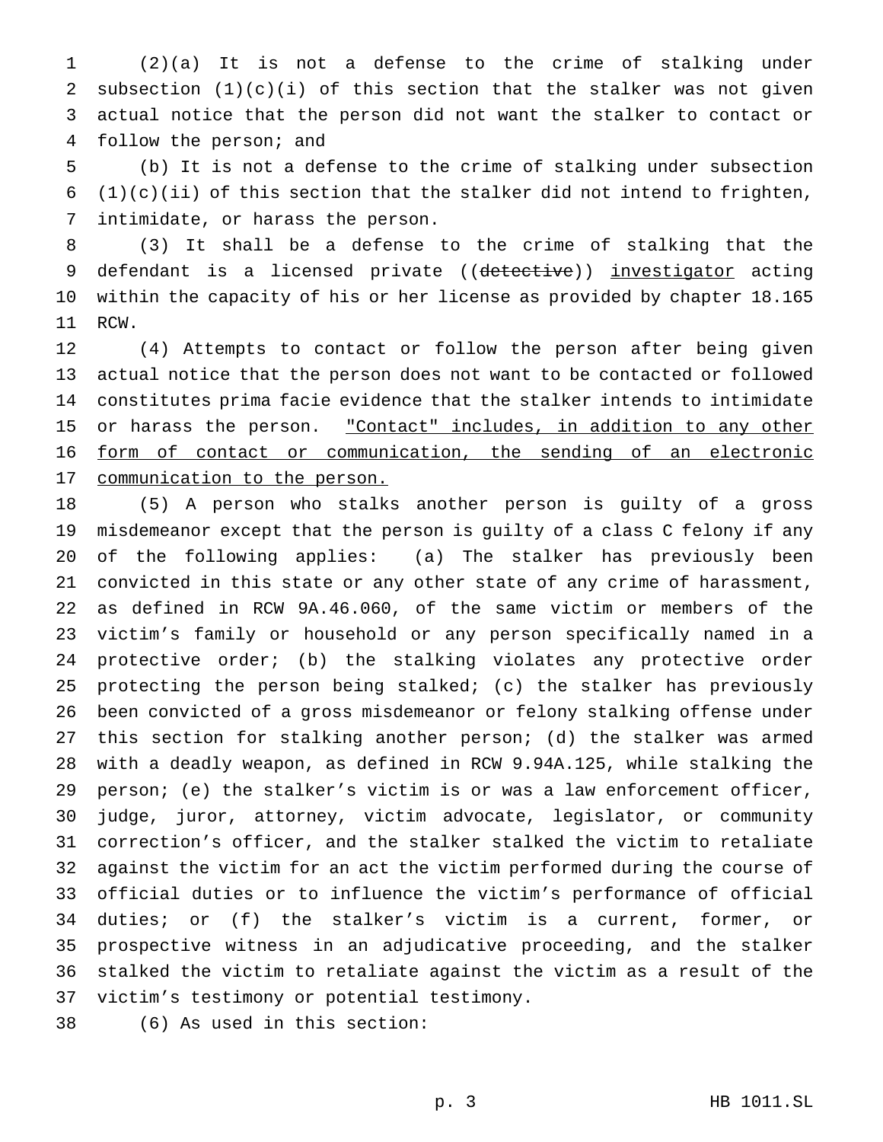(2)(a) It is not a defense to the crime of stalking under subsection (1)(c)(i) of this section that the stalker was not given actual notice that the person did not want the stalker to contact or follow the person; and

 (b) It is not a defense to the crime of stalking under subsection 6 (1)(c)(ii) of this section that the stalker did not intend to frighten, intimidate, or harass the person.

 (3) It shall be a defense to the crime of stalking that the 9 defendant is a licensed private ((detective)) investigator acting within the capacity of his or her license as provided by chapter 18.165 RCW.

 (4) Attempts to contact or follow the person after being given actual notice that the person does not want to be contacted or followed constitutes prima facie evidence that the stalker intends to intimidate 15 or harass the person. "Contact" includes, in addition to any other form of contact or communication, the sending of an electronic communication to the person.

 (5) A person who stalks another person is guilty of a gross misdemeanor except that the person is guilty of a class C felony if any of the following applies: (a) The stalker has previously been convicted in this state or any other state of any crime of harassment, as defined in RCW 9A.46.060, of the same victim or members of the victim's family or household or any person specifically named in a protective order; (b) the stalking violates any protective order protecting the person being stalked; (c) the stalker has previously been convicted of a gross misdemeanor or felony stalking offense under this section for stalking another person; (d) the stalker was armed with a deadly weapon, as defined in RCW 9.94A.125, while stalking the person; (e) the stalker's victim is or was a law enforcement officer, judge, juror, attorney, victim advocate, legislator, or community correction's officer, and the stalker stalked the victim to retaliate against the victim for an act the victim performed during the course of official duties or to influence the victim's performance of official duties; or (f) the stalker's victim is a current, former, or prospective witness in an adjudicative proceeding, and the stalker stalked the victim to retaliate against the victim as a result of the victim's testimony or potential testimony.

(6) As used in this section: